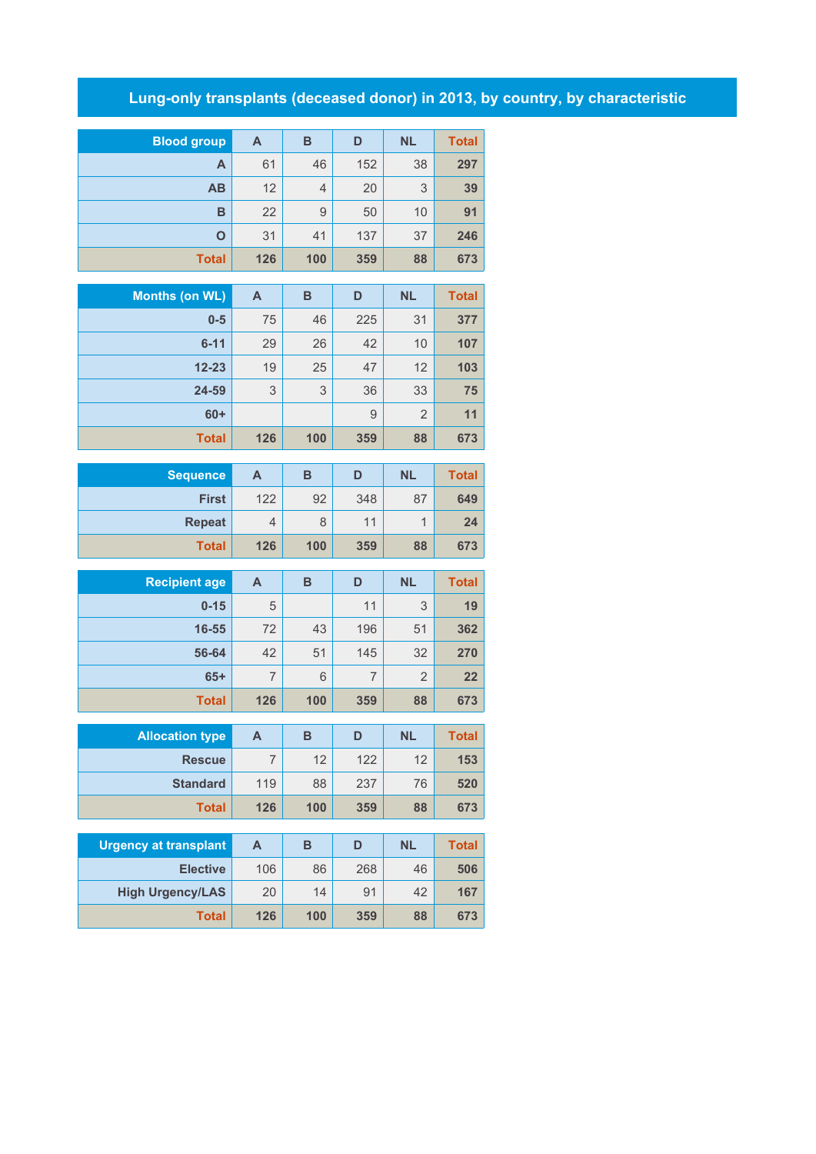## **Lung-only transplants (deceased donor) in 2013, by country, by characteristic**

| <b>Blood group</b> | A   | B              | D   | <b>NL</b> | <b>Total</b> |
|--------------------|-----|----------------|-----|-----------|--------------|
| A                  | 61  | 46             | 152 | 38        | 297          |
| <b>AB</b>          | 12  | $\overline{4}$ | 20  | 3         | 39           |
| B                  | 22  | 9              | 50  | 10        | 91           |
| O                  | 31  | 41             | 137 | 37        | 246          |
| <b>Total</b>       | 126 | 100            | 359 | 88        | 673          |

| Months (on WL) | A   | B   | D   | <b>NL</b>      | <b>Total</b> |
|----------------|-----|-----|-----|----------------|--------------|
| $0 - 5$        | 75  | 46  | 225 | 31             | 377          |
| $6 - 11$       | 29  | 26  | 42  | 10             | 107          |
| $12 - 23$      | 19  | 25  | 47  | 12             | 103          |
| 24-59          | 3   | 3   | 36  | 33             | 75           |
| $60+$          |     |     | 9   | $\overline{2}$ | 11           |
| <b>Total</b>   | 126 | 100 | 359 | 88             | 673          |

| <b>Sequence</b> | Α   | в   | D   | <b>NL</b> | <b>Total</b> |
|-----------------|-----|-----|-----|-----------|--------------|
| <b>First</b>    | 122 | 92  | 348 | 87        | 649          |
| <b>Repeat</b>   | 4   | 8   | 11  |           | 24           |
| <b>Total</b>    | 126 | 100 | 359 | 88        | 673          |

| <b>Recipient age</b> | A   | B   | D   | <b>NL</b>      | <b>Total</b> |
|----------------------|-----|-----|-----|----------------|--------------|
| $0 - 15$             | 5   |     | 11  | 3              | 19           |
| 16-55                | 72  | 43  | 196 | 51             | 362          |
| 56-64                | 42  | 51  | 145 | 32             | 270          |
| $65+$                | 7   | 6   | 7   | $\overline{2}$ | 22           |
| <b>Total</b>         | 126 | 100 | 359 | 88             | 673          |

| <b>Allocation type</b> | A   | в   | D   | <b>NL</b> | <b>Total</b> |
|------------------------|-----|-----|-----|-----------|--------------|
| <b>Rescue</b>          |     | 12  | 122 | 12        | 153          |
| <b>Standard</b>        | 119 | 88  | 237 | 76        | 520          |
| <b>Total</b>           | 126 | 100 | 359 | 88        | 673          |

| <b>Urgency at transplant</b> | A   | в   | D   | <b>NL</b> | Total |
|------------------------------|-----|-----|-----|-----------|-------|
| <b>Elective</b>              | 106 | 86  | 268 | 46        | 506   |
| <b>High Urgency/LAS</b>      | 20  | 14  | 91  | 42        | 167   |
| <b>Total</b>                 | 126 | 100 | 359 | 88        | 673   |